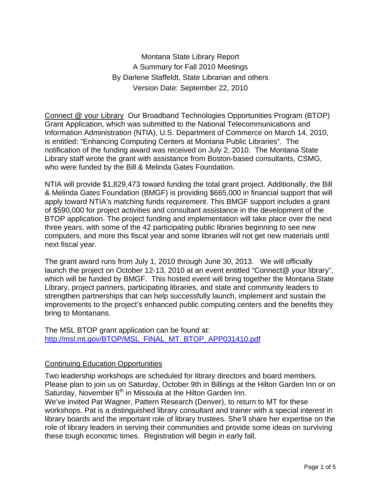Montana State Library Report A Summary for Fall 2010 Meetings By Darlene Staffeldt, State Librarian and others Version Date: September 22, 2010

Connect @ your Library Our Broadband Technologies Opportunities Program (BTOP) Grant Application, which was submitted to the National Telecommunications and Information Administration (NTIA), U.S. Department of Commerce on March 14, 2010, is entitled: "Enhancing Computing Centers at Montana Public Libraries". The notification of the funding award was received on July 2, 2010. The Montana State Library staff wrote the grant with assistance from Boston-based consultants, CSMG, who were funded by the Bill & Melinda Gates Foundation.

NTIA will provide \$1,829,473 toward funding the total grant project. Additionally, the Bill & Melinda Gates Foundation (BMGF) is providing \$665,000 in financial support that will apply toward NTIA's matching funds requirement. This BMGF support includes a grant of \$590,000 for project activities and consultant assistance in the development of the BTOP application. The project funding and implementation will take place over the next three years, with some of the 42 participating public libraries beginning to see new computers, and more this fiscal year and some libraries will not get new materials until next fiscal year.

The grant award runs from July 1, 2010 through June 30, 2013. We will officially launch the project on October 12-13, 2010 at an event entitled "Connect@ your library", which will be funded by BMGF. This hosted event will bring together the Montana State Library, project partners, participating libraries, and state and community leaders to strengthen partnerships that can help successfully launch, implement and sustain the improvements to the project's enhanced public computing centers and the benefits they bring to Montanans.

The MSL BTOP grant application can be found at: http://msl.mt.gov/BTOP/MSL\_FINAL\_MT\_BTOP\_APP031410.pdf

## Continuing Education Opportunities

Two leadership workshops are scheduled for library directors and board members. Please plan to join us on Saturday, October 9th in Billings at the Hilton Garden Inn or on Saturday, November 6<sup>th</sup> in Missoula at the Hilton Garden Inn.

We've invited Pat Wagner, Pattern Research (Denver), to return to MT for these workshops. Pat is a distinguished library consultant and trainer with a special interest in library boards and the important role of library trustees. She'll share her expertise on the role of library leaders in serving their communities and provide some ideas on surviving these tough economic times. Registration will begin in early fall.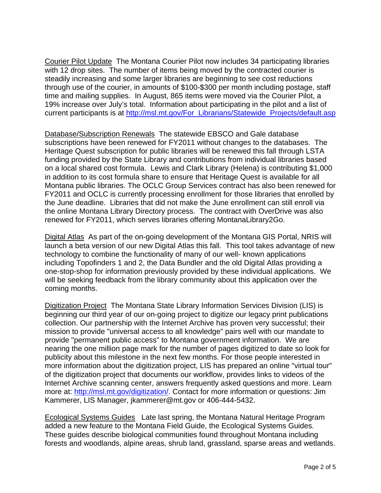Courier Pilot Update The Montana Courier Pilot now includes 34 participating libraries with 12 drop sites. The number of items being moved by the contracted courier is steadily increasing and some larger libraries are beginning to see cost reductions through use of the courier, in amounts of \$100-\$300 per month including postage, staff time and mailing supplies. In August, 865 items were moved via the Courier Pilot, a 19% increase over July's total. Information about participating in the pilot and a list of current participants is at http://msl.mt.gov/For\_Librarians/Statewide\_Projects/default.asp

Database/Subscription Renewals The statewide EBSCO and Gale database subscriptions have been renewed for FY2011 without changes to the databases. The Heritage Quest subscription for public libraries will be renewed this fall through LSTA funding provided by the State Library and contributions from individual libraries based on a local shared cost formula. Lewis and Clark Library (Helena) is contributing \$1,000 in addition to its cost formula share to ensure that Heritage Quest is available for all Montana public libraries. The OCLC Group Services contract has also been renewed for FY2011 and OCLC is currently processing enrollment for those libraries that enrolled by the June deadline. Libraries that did not make the June enrollment can still enroll via the online Montana Library Directory process. The contract with OverDrive was also renewed for FY2011, which serves libraries offering MontanaLibrary2Go.

Digital Atlas As part of the on-going development of the Montana GIS Portal, NRIS will launch a beta version of our new Digital Atlas this fall. This tool takes advantage of new technology to combine the functionality of many of our well- known applications including Topofinders 1 and 2, the Data Bundler and the old Digital Atlas providing a one-stop-shop for information previously provided by these individual applications. We will be seeking feedback from the library community about this application over the coming months.

Digitization Project The Montana State Library Information Services Division (LIS) is beginning our third year of our on-going project to digitize our legacy print publications collection. Our partnership with the Internet Archive has proven very successful; their mission to provide "universal access to all knowledge" pairs well with our mandate to provide "permanent public access" to Montana government information. We are nearing the one million page mark for the number of pages digitized to date so look for publicity about this milestone in the next few months. For those people interested in more information about the digitization project, LIS has prepared an online "virtual tour" of the digitization project that documents our workflow, provides links to videos of the Internet Archive scanning center, answers frequently asked questions and more. Learn more at: http://msl.mt.gov/digitization/. Contact for more information or questions: Jim Kammerer, LIS Manager, jkammerer@mt.gov or 406-444-5432.

Ecological Systems Guides Late last spring, the Montana Natural Heritage Program added a new feature to the Montana Field Guide, the Ecological Systems Guides. These guides describe biological communities found throughout Montana including forests and woodlands, alpine areas, shrub land, grassland, sparse areas and wetlands.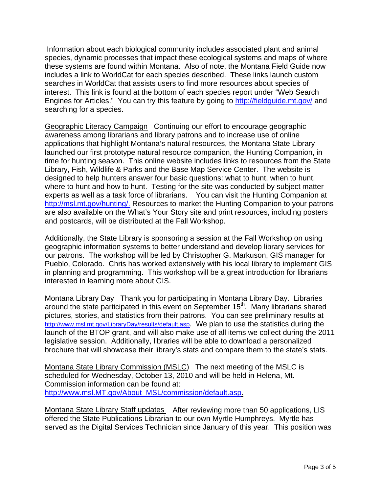Information about each biological community includes associated plant and animal species, dynamic processes that impact these ecological systems and maps of where these systems are found within Montana. Also of note, the Montana Field Guide now includes a link to WorldCat for each species described. These links launch custom searches in WorldCat that assists users to find more resources about species of interest. This link is found at the bottom of each species report under "Web Search Engines for Articles." You can try this feature by going to http://fieldguide.mt.gov/ and searching for a species.

Geographic Literacy Campaign Continuing our effort to encourage geographic awareness among librarians and library patrons and to increase use of online applications that highlight Montana's natural resources, the Montana State Library launched our first prototype natural resource companion, the Hunting Companion, in time for hunting season. This online website includes links to resources from the State Library, Fish, Wildlife & Parks and the Base Map Service Center. The website is designed to help hunters answer four basic questions: what to hunt, when to hunt, where to hunt and how to hunt. Testing for the site was conducted by subject matter experts as well as a task force of librarians. You can visit the Hunting Companion at http://msl.mt.gov/hunting/. Resources to market the Hunting Companion to your patrons are also available on the What's Your Story site and print resources, including posters and postcards, will be distributed at the Fall Workshop.

Additionally, the State Library is sponsoring a session at the Fall Workshop on using geographic information systems to better understand and develop library services for our patrons. The workshop will be led by Christopher G. Markuson, GIS manager for Pueblo, Colorado. Chris has worked extensively with his local library to implement GIS in planning and programming. This workshop will be a great introduction for librarians interested in learning more about GIS.

Montana Library Day Thank you for participating in Montana Library Day. Libraries around the state participated in this event on September 15<sup>th</sup>. Many librarians shared pictures, stories, and statistics from their patrons. You can see preliminary results at http://www.msl.mt.gov/LibraryDay/results/default.asp. We plan to use the statistics during the launch of the BTOP grant, and will also make use of all items we collect during the 2011 legislative session. Additionally, libraries will be able to download a personalized brochure that will showcase their library's stats and compare them to the state's stats.

Montana State Library Commission (MSLC) The next meeting of the MSLC is scheduled for Wednesday, October 13, 2010 and will be held in Helena, Mt. Commission information can be found at: http://www.msl.MT.gov/About\_MSL/commission/default.asp.

Montana State Library Staff updates After reviewing more than 50 applications, LIS offered the State Publications Librarian to our own Myrtle Humphreys. Myrtle has served as the Digital Services Technician since January of this year. This position was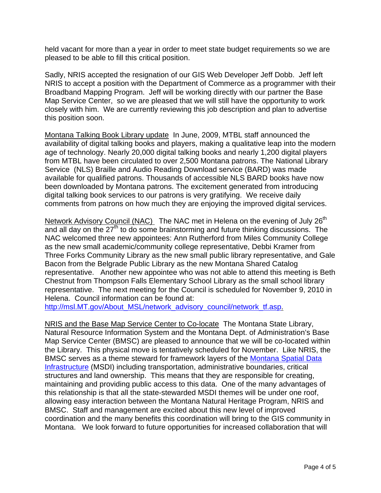held vacant for more than a year in order to meet state budget requirements so we are pleased to be able to fill this critical position.

Sadly, NRIS accepted the resignation of our GIS Web Developer Jeff Dobb. Jeff left NRIS to accept a position with the Department of Commerce as a programmer with their Broadband Mapping Program. Jeff will be working directly with our partner the Base Map Service Center, so we are pleased that we will still have the opportunity to work closely with him. We are currently reviewing this job description and plan to advertise this position soon.

Montana Talking Book Library update In June, 2009, MTBL staff announced the availability of digital talking books and players, making a qualitative leap into the modern age of technology. Nearly 20,000 digital talking books and nearly 1,200 digital players from MTBL have been circulated to over 2,500 Montana patrons. The National Library Service (NLS) Braille and Audio Reading Download service (BARD) was made available for qualified patrons. Thousands of accessible NLS BARD books have now been downloaded by Montana patrons. The excitement generated from introducing digital talking book services to our patrons is very gratifying. We receive daily comments from patrons on how much they are enjoying the improved digital services.

Network Advisory Council (NAC) The NAC met in Helena on the evening of July 26<sup>th</sup> and all day on the  $27<sup>th</sup>$  to do some brainstorming and future thinking discussions. The NAC welcomed three new appointees: Ann Rutherford from Miles Community College as the new small academic/community college representative, Debbi Kramer from Three Forks Community Library as the new small public library representative, and Gale Bacon from the Belgrade Public Library as the new Montana Shared Catalog representative. Another new appointee who was not able to attend this meeting is Beth Chestnut from Thompson Falls Elementary School Library as the small school library representative. The next meeting for the Council is scheduled for November 9, 2010 in Helena. Council information can be found at:

http://msl.MT.gov/About\_MSL/network\_advisory\_council/network\_tf.asp.

NRIS and the Base Map Service Center to Co-locate The Montana State Library, Natural Resource Information System and the Montana Dept. of Administration's Base Map Service Center (BMSC) are pleased to announce that we will be co-located within the Library. This physical move is tentatively scheduled for November. Like NRIS, the BMSC serves as a theme steward for framework layers of the Montana Spatial Data Infrastructure (MSDI) including transportation, administrative boundaries, critical structures and land ownership. This means that they are responsible for creating, maintaining and providing public access to this data. One of the many advantages of this relationship is that all the state-stewarded MSDI themes will be under one roof, allowing easy interaction between the Montana Natural Heritage Program, NRIS and BMSC. Staff and management are excited about this new level of improved coordination and the many benefits this coordination will bring to the GIS community in Montana. We look forward to future opportunities for increased collaboration that will